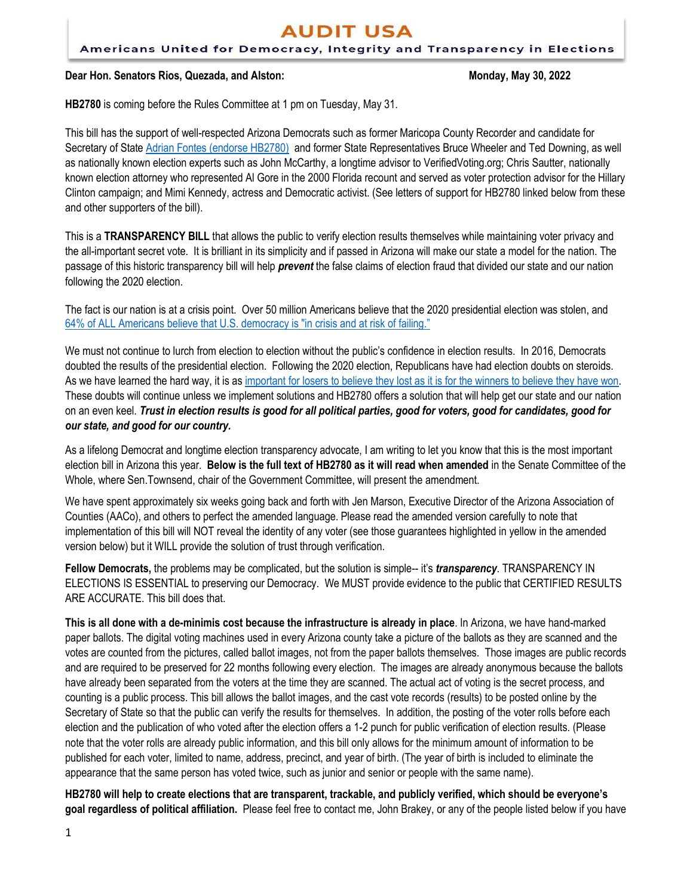# **AUDIT USA**

#### Americans United for Democracy, Integrity and Transparency in Elections

#### **Dear Hon. Senators Rios, Quezada, and Alston: Monday, May 30, 2022**

**HB2780** is coming before the Rules Committee at 1 pm on Tuesday, May 31.

This bill has the support of well-respected Arizona Democrats such as former Maricopa County Recorder and candidate for Secretary of State [Adrian Fontes \(endorse HB2780\)](https://bit.ly/3L7mOIG) and former State Representatives Bruce Wheeler and Ted Downing, as well as nationally known election experts such as John McCarthy, a longtime advisor to VerifiedVoting.org; Chris Sautter, nationally known election attorney who represented Al Gore in the 2000 Florida recount and served as voter protection advisor for the Hillary Clinton campaign; and Mimi Kennedy, actress and Democratic activist. (See letters of support for HB2780 linked below from these and other supporters of the bill).

This is a **TRANSPARENCY BILL** that allows the public to verify election results themselves while maintaining voter privacy and the all-important secret vote. It is brilliant in its simplicity and if passed in Arizona will make our state a model for the nation. The passage of this historic transparency bill will help *prevent* the false claims of election fraud that divided our state and our nation following the 2020 election.

The fact is our nation is at a crisis point. Over 50 million Americans believe that the 2020 presidential election was stolen, and 64% of [ALL Americans believe that U.S. democracy is "in crisis and at risk of failing."](https://www.npr.org/2022/01/03/1069764164/american-democracy-poll-jan-6)

We must not continue to lurch from election to election without the public's confidence in election results. In 2016, Democrats doubted the results of the presidential election. Following the 2020 election, Republicans have had election doubts on steroids. As we have learned the hard way, it is a[s important for losers to believe they lost as it is for the winners to believe they have won.](https://abcnews.go.com/Politics/wireStory/north-carolina-hearing-set-voting-machines-65140895) These doubts will continue unless we implement solutions and HB2780 offers a solution that will help get our state and our nation on an even keel. *Trust in election results is good for all political parties, good for voters, good for candidates, good for our state, and good for our country.*

As a lifelong Democrat and longtime election transparency advocate, I am writing to let you know that this is the most important election bill in Arizona this year. **Below is the full text of HB2780 as it will read when amended** in the Senate Committee of the Whole, where Sen.Townsend, chair of the Government Committee, will present the amendment.

We have spent approximately six weeks going back and forth with Jen Marson, Executive Director of the Arizona Association of Counties (AACo), and others to perfect the amended language. Please read the amended version carefully to note that implementation of this bill will NOT reveal the identity of any voter (see those guarantees highlighted in yellow in the amended version below) but it WILL provide the solution of trust through verification.

**Fellow Democrats,** the problems may be complicated, but the solution is simple-- it's *transparency*. TRANSPARENCY IN ELECTIONS IS ESSENTIAL to preserving our Democracy. We MUST provide evidence to the public that CERTIFIED RESULTS ARE ACCURATE. This bill does that.

**This is all done with a de-minimis cost because the infrastructure is already in place**. In Arizona, we have hand-marked paper ballots. The digital voting machines used in every Arizona county take a picture of the ballots as they are scanned and the votes are counted from the pictures, called ballot images, not from the paper ballots themselves. Those images are public records and are required to be preserved for 22 months following every election. The images are already anonymous because the ballots have already been separated from the voters at the time they are scanned. The actual act of voting is the secret process, and counting is a public process. This bill allows the ballot images, and the cast vote records (results) to be posted online by the Secretary of State so that the public can verify the results for themselves. In addition, the posting of the voter rolls before each election and the publication of who voted after the election offers a 1-2 punch for public verification of election results. (Please note that the voter rolls are already public information, and this bill only allows for the minimum amount of information to be published for each voter, limited to name, address, precinct, and year of birth. (The year of birth is included to eliminate the appearance that the same person has voted twice, such as junior and senior or people with the same name).

**HB2780 will help to create elections that are transparent, trackable, and publicly verified, which should be everyone's goal regardless of political affiliation.** Please feel free to contact me, John Brakey, or any of the people listed below if you have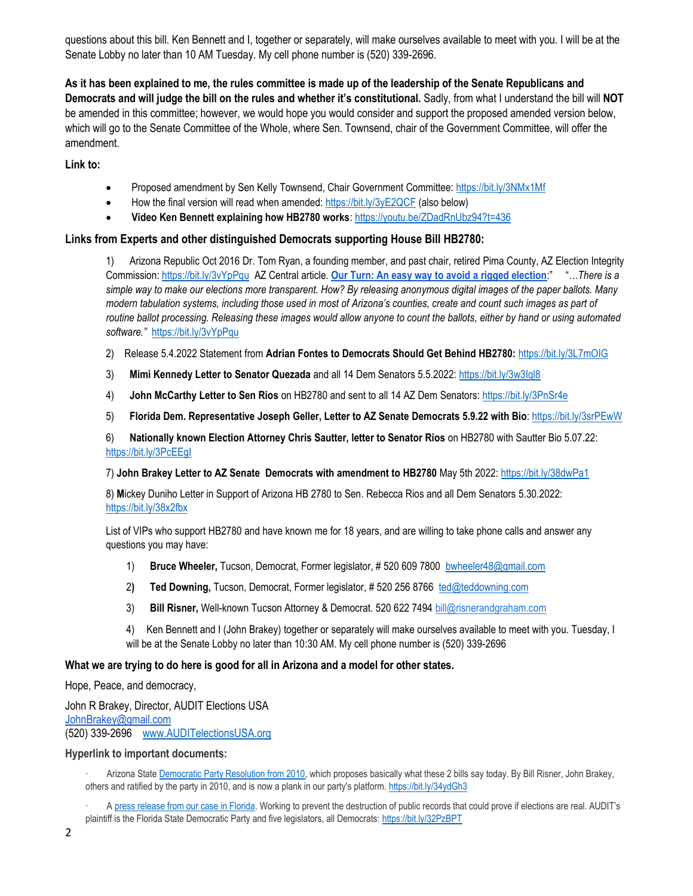questions about this bill. Ken Bennett and I, together or separately, will make ourselves available to meet with you. I will be at the Senate Lobby no later than 10 AM Tuesday. My cell phone number is (520) 339-2696.

**As it has been explained to me, the rules committee is made up of the leadership of the Senate Republicans and Democrats and will judge the bill on the rules and whether it's constitutional.** Sadly, from what I understand the bill will **NOT** be amended in this committee; however, we would hope you would consider and support the proposed amended version below, which will go to the Senate Committee of the Whole, where Sen. Townsend, chair of the Government Committee, will offer the amendment.

**Link to:** 

- Proposed amendment by Sen Kelly Townsend, Chair Government Committee: <https://bit.ly/3NMx1Mf>
- How the final version will read when amended: <https://bit.ly/3yE2QCF> (also below)
- **Video Ken Bennett explaining how HB2780 works**[: https://youtu.be/ZDadRnUbz94?t=436](https://youtu.be/ZDadRnUbz94?t=436)

## **Links from Experts and other distinguished Democrats supporting House Bill HB2780:**

1) Arizona Republic Oct 2016 Dr. Tom Ryan, a founding member, and past chair, retired Pima County, AZ Election Integrity Commission:<https://bit.ly/3vYpPqu> AZ Central article*.* **[Our Turn: An easy way to avoid a rigged election](https://www.azcentral.com/story/opinion/op-ed/2016/10/28/avoid-rigged-election/92090676/)**:" "*…There is a simple way to make our elections more transparent. How? By releasing anonymous digital images of the paper ballots. Many modern tabulation systems, including those used in most of Arizona's counties, create and count such images as part of routine ballot processing. Releasing these images would allow anyone to count the ballots, either by hand or using automated software."* <https://bit.ly/3vYpPqu>

2) Release 5.4.2022 Statement from **Adrian Fontes to Democrats Should Get Behind HB2780:** <https://bit.ly/3L7mOIG>

- 3) **Mimi Kennedy Letter to Senator Quezada** and all 14 Dem Senators 5.5.2022:<https://bit.ly/3w3Iql8>
- 4) **John McCarthy Letter to Sen Rios** on HB2780 and sent to all 14 AZ Dem Senators[: https://bit.ly/3PnSr4e](https://bit.ly/3PnSr4e)
- 5) **Florida Dem. Representative Joseph Geller, Letter to AZ Senate Democrats 5.9.22 with Bio**:<https://bit.ly/3srPEwW>

6) **Nationally known Election Attorney Chris Sautter, letter to Senator Rios** on HB2780 with Sautter Bio 5.07.22: <https://bit.ly/3PcEEgI>

7) **John Brakey Letter to AZ Senate Democrats with amendment to HB2780** May 5th 2022[: https://bit.ly/38dwPa1](https://bit.ly/38dwPa1)

8) **M**ickey Duniho Letter in Support of Arizona HB 2780 to Sen. Rebecca Rios and all Dem Senators 5.30.2022: <https://bit.ly/38x2fbx>

List of VIPs who support HB2780 and have known me for 18 years, and are willing to take phone calls and answer any questions you may have:

- 1) **Bruce Wheeler,** Tucson, Democrat, Former legislator, # 520 609 7800 [bwheeler48@gmail.com](mailto:bwheeler48@gmail.com)
- 2**) Ted Downing,** Tucson, Democrat, Former legislator, # 520 256 8766 [ted@teddowning.com](mailto:ted@teddowning.com)
- 3) **Bill Risner,** Well-known Tucson Attorney & Democrat. 520 622 749[4 bill@risnerandgraham.com](mailto:bill@risnerandgraham.com)

4) Ken Bennett and I (John Brakey) together or separately will make ourselves available to meet with you. Tuesday, I will be at the Senate Lobby no later than 10:30 AM. My cell phone number is (520) 339-2696

#### **What we are trying to do here is good for all in Arizona and a model for other states.**

Hope, Peace, and democracy,

John R Brakey, Director, AUDIT Elections USA [JohnBrakey@gmail.com](mailto:JohnBrakey@gmail.com) (520) 339-2696 [www.AUDITelectionsUSA.org](http://www.auditelectionsusa.org/) 

#### **Hyperlink to important documents:**

· Arizona State [Democratic Party Resolution from 2010,](https://drive.google.com/file/d/0B2TKmkSNAkCfNThmOTc5NGQtYWZmZi00ZDMyLWE2MmUtYTI2MDY3OTExYTEx/view?usp=sharing&resourcekey=0-4f-u-6ZLRsq0gPFaouW_Rw) which proposes basically what these 2 bills say today. By Bill Risner, John Brakey, others and ratified by the party in 2010, and is now a plank in our party's platform. <https://bit.ly/34ydGh3>

· A [press release from our case in Florida](https://drive.google.com/file/d/1ktwmDe5DO1pyKN-lhjD11uNCRGNq1haf/view?usp=sharing). Working to prevent the destruction of public records that could prove if elections are real. AUDIT's plaintiff is the Florida State Democratic Party and five legislators, all Democrats: <https://bit.ly/32PzBPT>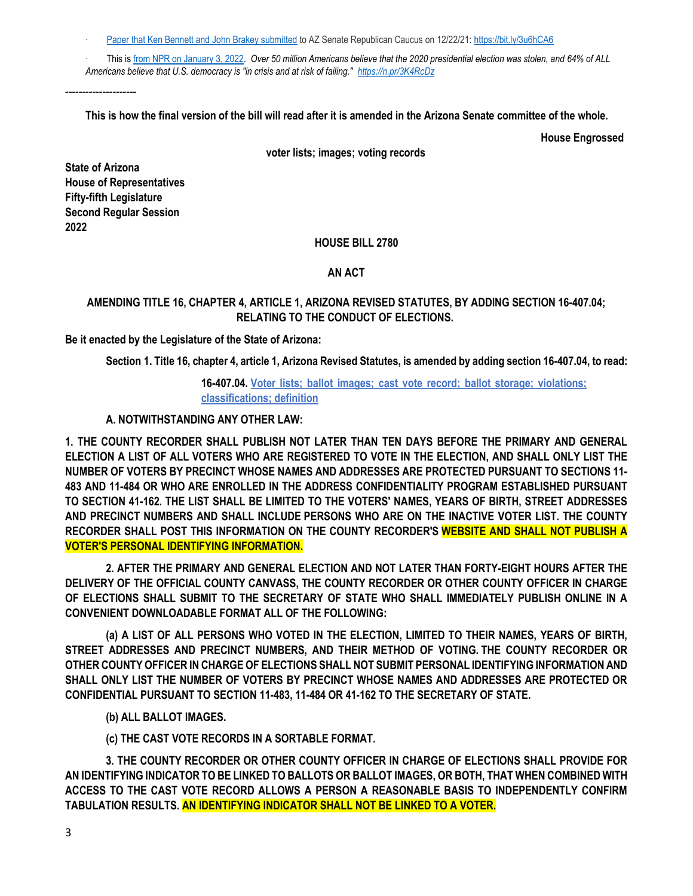[Paper that Ken Bennett and John Brakey submitted](https://drive.google.com/file/d/1BIJZBRdIIjt_F48KdV-Y1aivYQxq-W7p/view?usp=sharing) to AZ Senate Republican Caucus on 12/22/21: <https://bit.ly/3u6hCA6>

· This is [from NPR on January 3, 2022.](https://www.npr.org/2022/01/03/1069764164/american-democracy-poll-jan-6) *Over 50 million Americans believe that the 2020 presidential election was stolen, and 64% of ALL* 

*Americans believe that U.S. democracy is "in crisis and at risk of failing." <https://n.pr/3K4RcDz>*

**This is how the final version of the bill will read after it is amended in the Arizona Senate committee of the whole.**

**House Engrossed**

**voter lists; images; voting records**

**State of Arizona House of Representatives Fifty-fifth Legislature Second Regular Session 2022**

---------------------

## **HOUSE BILL 2780**

## **AN ACT**

# **AMENDING TITLE 16, CHAPTER 4, ARTICLE 1, ARIZONA REVISED STATUTES, BY ADDING SECTION 16-407.04; RELATING TO THE CONDUCT OF ELECTIONS.**

**Be it enacted by the Legislature of the State of Arizona:**

**Section 1. Title 16, chapter 4, article 1, Arizona Revised Statutes, is amended by adding section 16-407.04, to read:**

# **16-407.04. Voter lists; ballot images; cast vote record; ballot storage; violations; classifications; definition**

# **A. NOTWITHSTANDING ANY OTHER LAW:**

**1. THE COUNTY RECORDER SHALL PUBLISH NOT LATER THAN TEN DAYS BEFORE THE PRIMARY AND GENERAL ELECTION A LIST OF ALL VOTERS WHO ARE REGISTERED TO VOTE IN THE ELECTION, AND SHALL ONLY LIST THE NUMBER OF VOTERS BY PRECINCT WHOSE NAMES AND ADDRESSES ARE PROTECTED PURSUANT TO SECTIONS 11- 483 AND 11-484 OR WHO ARE ENROLLED IN THE ADDRESS CONFIDENTIALITY PROGRAM ESTABLISHED PURSUANT TO SECTION 41-162. THE LIST SHALL BE LIMITED TO THE VOTERS' NAMES, YEARS OF BIRTH, STREET ADDRESSES AND PRECINCT NUMBERS AND SHALL INCLUDE PERSONS WHO ARE ON THE INACTIVE VOTER LIST. THE COUNTY RECORDER SHALL POST THIS INFORMATION ON THE COUNTY RECORDER'S WEBSITE AND SHALL NOT PUBLISH A VOTER'S PERSONAL IDENTIFYING INFORMATION.**

**2. AFTER THE PRIMARY AND GENERAL ELECTION AND NOT LATER THAN FORTY-EIGHT HOURS AFTER THE DELIVERY OF THE OFFICIAL COUNTY CANVASS, THE COUNTY RECORDER OR OTHER COUNTY OFFICER IN CHARGE OF ELECTIONS SHALL SUBMIT TO THE SECRETARY OF STATE WHO SHALL IMMEDIATELY PUBLISH ONLINE IN A CONVENIENT DOWNLOADABLE FORMAT ALL OF THE FOLLOWING:**

**(a) A LIST OF ALL PERSONS WHO VOTED IN THE ELECTION, LIMITED TO THEIR NAMES, YEARS OF BIRTH, STREET ADDRESSES AND PRECINCT NUMBERS, AND THEIR METHOD OF VOTING. THE COUNTY RECORDER OR OTHER COUNTY OFFICER IN CHARGE OF ELECTIONS SHALL NOT SUBMIT PERSONAL IDENTIFYING INFORMATION AND SHALL ONLY LIST THE NUMBER OF VOTERS BY PRECINCT WHOSE NAMES AND ADDRESSES ARE PROTECTED OR CONFIDENTIAL PURSUANT TO SECTION 11-483, 11-484 OR 41-162 TO THE SECRETARY OF STATE.**

**(b) ALL BALLOT IMAGES.**

**(c) THE CAST VOTE RECORDS IN A SORTABLE FORMAT.**

**3. THE COUNTY RECORDER OR OTHER COUNTY OFFICER IN CHARGE OF ELECTIONS SHALL PROVIDE FOR AN IDENTIFYING INDICATOR TO BE LINKED TO BALLOTS OR BALLOT IMAGES, OR BOTH, THAT WHEN COMBINED WITH ACCESS TO THE CAST VOTE RECORD ALLOWS A PERSON A REASONABLE BASIS TO INDEPENDENTLY CONFIRM TABULATION RESULTS. AN IDENTIFYING INDICATOR SHALL NOT BE LINKED TO A VOTER.**